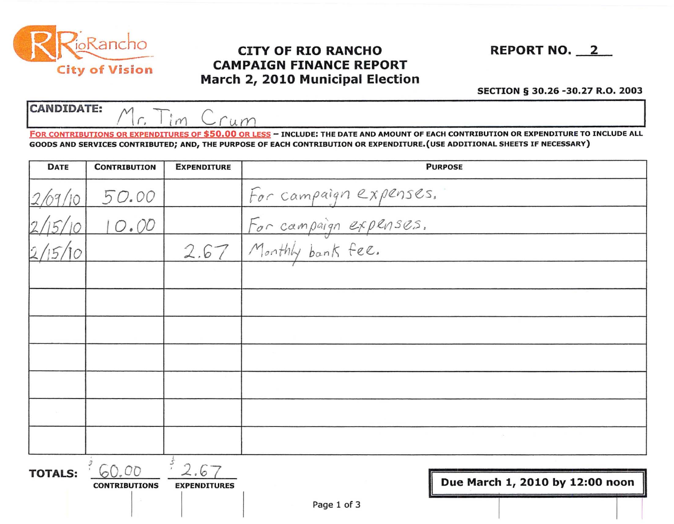

CANDIDATE:  $M_{c}$  I'm C.

## **Example 2018**<br>CITY OF RIO RANCHO REPORT NO. 2<br>City of Vision Mayab 2010 Municipal Election City of Vision CAMPAIGN FINANCE REPORT March 2, 2010 Municipal Election

## SECTION § 30.26 -30.27 R.O. 2003

<u>Mr. Iim Crum</u> FOR CONTRIBUTIONS OR EXPENDITURES OF \$50.00 OR LESS - INCLUDE: THE DATE AND AMOUNT OF EACH CONTRIBUTION OR EXPENDITURE TO INCLUDE ALL GOODS AND SERVICES CONTRIBUTED; AND, THE PURPOSE OF EACH CONTRIBUTION OR EXPENDITURE.(USE ADDITIONAL SHEETS IF NECESSARY)

| <b>DATE</b>    | <b>CONTRIBUTION</b>  | <b>EXPENDITURE</b>  | <b>PURPOSE</b>                                                        |  |  |
|----------------|----------------------|---------------------|-----------------------------------------------------------------------|--|--|
|                | 50.00                |                     |                                                                       |  |  |
|                | 10.00                |                     | For campaign expenses.<br>For campaign expenses.<br>Monthly bank fee. |  |  |
|                |                      | 2.67                |                                                                       |  |  |
|                |                      |                     |                                                                       |  |  |
|                |                      |                     |                                                                       |  |  |
|                |                      |                     |                                                                       |  |  |
|                |                      |                     |                                                                       |  |  |
|                |                      |                     |                                                                       |  |  |
|                |                      |                     |                                                                       |  |  |
|                |                      |                     |                                                                       |  |  |
| <b>TOTALS:</b> | 60.00                | 2.67                |                                                                       |  |  |
|                | <b>CONTRIBUTIONS</b> | <b>EXPENDITURES</b> | Due March 1, 2010 by 12:00 noon                                       |  |  |
|                |                      |                     | Page 1 of 3                                                           |  |  |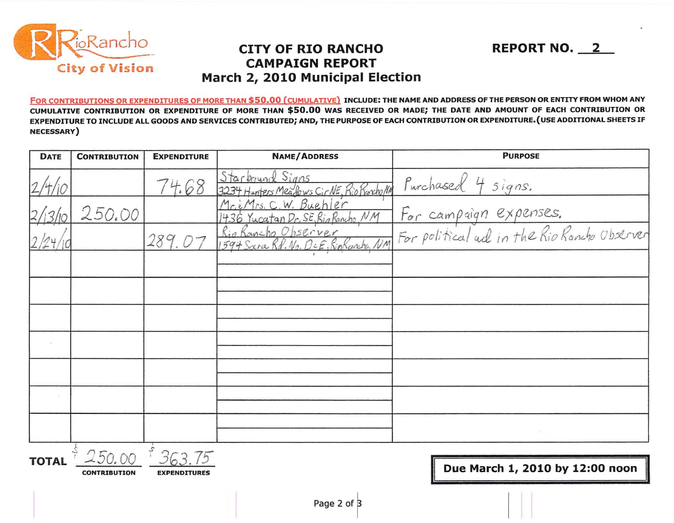

## **CITY OF RIO RANCHO CAMPAIGN REPORT** March 2, 2010 Municipal Election

**REPORT NO. 2** 

FOR CONTRIBUTIONS OR EXPENDITURES OF MORE THAN \$50.00 (CUMULATIVE) INCLUDE: THE NAME AND ADDRESS OF THE PERSON OR ENTITY FROM WHOM ANY CUMULATIVE CONTRIBUTION OR EXPENDITURE OF MORE THAN \$50.00 WAS RECEIVED OR MADE; THE DATE AND AMOUNT OF EACH CONTRIBUTION OR EXPENDITURE TO INCLUDE ALL GOODS AND SERVICES CONTRIBUTED; AND, THE PURPOSE OF EACH CONTRIBUTION OR EXPENDITURE. (USE ADDITIONAL SHEETS IF **NECESSARY**)

| <b>DATE</b> | <b>CONTRIBUTION</b> | <b>EXPENDITURE</b> | <b>NAME/ADDRESS</b> | <b>PURPOSE</b>                                                                                                                                                                                                                             |
|-------------|---------------------|--------------------|---------------------|--------------------------------------------------------------------------------------------------------------------------------------------------------------------------------------------------------------------------------------------|
|             |                     | 74.68              |                     | Jaronund Signs<br>3234 Hunters Mealows CirlE, Rio Roxholm Purchased 4 signs.<br>1436 Yucatan Dr. SE, Rio Roncho, NM For campaign expenses.<br>Rio Rouncho Observer<br>1594 Sara Rd. No. Def, Rio Roncho, NM For political ad in the Rio Ra |
|             | 250.00              |                    |                     |                                                                                                                                                                                                                                            |
|             |                     | 289.07             |                     |                                                                                                                                                                                                                                            |
|             |                     |                    |                     |                                                                                                                                                                                                                                            |
|             |                     |                    |                     |                                                                                                                                                                                                                                            |
|             |                     |                    |                     |                                                                                                                                                                                                                                            |
|             |                     |                    |                     |                                                                                                                                                                                                                                            |
|             |                     |                    |                     |                                                                                                                                                                                                                                            |
|             |                     |                    |                     |                                                                                                                                                                                                                                            |
|             |                     |                    |                     |                                                                                                                                                                                                                                            |
|             |                     |                    |                     |                                                                                                                                                                                                                                            |

**TOTAL** 

**CONTRIBUTION** 

**EXPENDITURES** 

Due March 1, 2010 by 12:00 noon